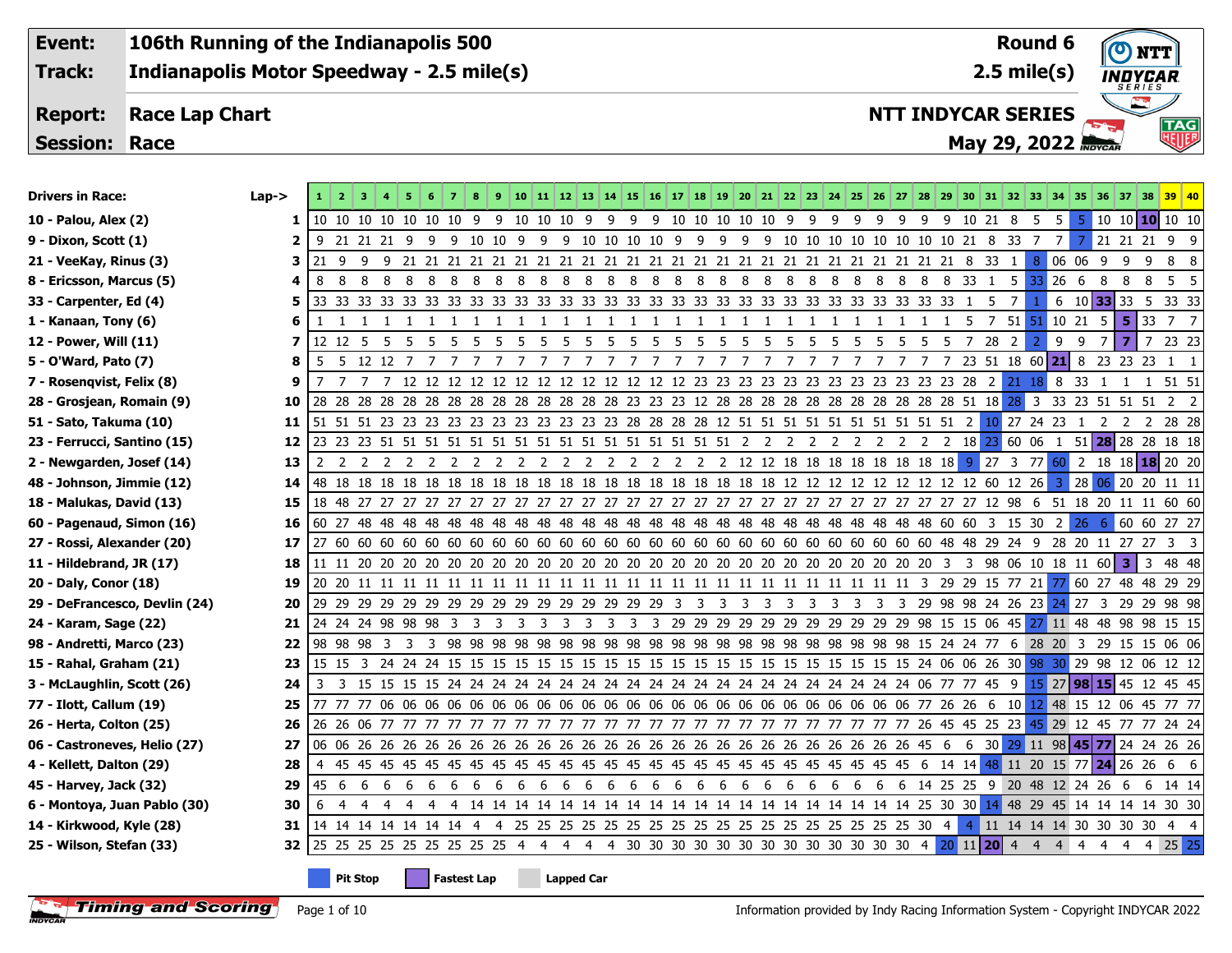**106th Running of the Indianapolis 500 Event: Round 6**NTT **Indianapolis Motor Speedway - 2.5 mile(s) Track: 2.5 mile(s) INDYCAR Report: Race Lap Chart NTT INDYCAR SERIES TAG**<br>HEILB **May 29, 2022 Session: Race**

| <b>Drivers in Race:</b>       | $Lap->$ |     |                 |                                                                                                                                 |    |    |                                                                                  |                       |     |     |    |                   |    |     |           |          |    |     |   |                 |           |                           |    |   |   |                 |         |              |                         |       |     |                |                                | 10 11 12 13 14 15 16 17 18 19 20 21 22 23 24 25 26 27 28 29 30 31 32 33 34 35 36 37 38 39 40          |       |
|-------------------------------|---------|-----|-----------------|---------------------------------------------------------------------------------------------------------------------------------|----|----|----------------------------------------------------------------------------------|-----------------------|-----|-----|----|-------------------|----|-----|-----------|----------|----|-----|---|-----------------|-----------|---------------------------|----|---|---|-----------------|---------|--------------|-------------------------|-------|-----|----------------|--------------------------------|-------------------------------------------------------------------------------------------------------|-------|
| 10 - Palou, Alex (2)          | 1       |     |                 | 10 10 10 10 10 10 10 9                                                                                                          |    |    |                                                                                  |                       |     |     |    |                   |    |     |           |          |    |     |   |                 |           |                           |    |   |   |                 |         |              | 5                       | 5     | 5.  |                |                                | $10 \t10 \t10 \t10 \t10$                                                                              |       |
| 9 - Dixon, Scott (1)          | 2       | -9  |                 |                                                                                                                                 |    |    |                                                                                  |                       |     |     |    |                   |    |     |           |          |    |     |   |                 |           |                           |    |   |   |                 |         |              |                         | 7 I   | 7   |                |                                | 21 21 21 9 9                                                                                          |       |
| 21 - VeeKay, Rinus (3)        | 3       | 21  | - 9             | -9                                                                                                                              |    |    |                                                                                  |                       |     |     |    |                   |    |     |           |          |    |     |   |                 |           |                           |    |   |   |                 |         | <sup>1</sup> | 8                       | 06 06 |     | - 9            | 9<br>9                         |                                                                                                       | 8 8   |
| 8 - Ericsson, Marcus (5)      | 4       | 8   | - 8             | 88                                                                                                                              |    | 88 | 88                                                                               | 8 <sup>8</sup>        | 8   | - 8 | 88 |                   |    | 888 |           | 88       |    | 8 8 |   | 8 8 8           |           | 88                        | 88 |   |   | 8 8 33 1 5      |         |              | -33                     | 26    | - 6 | 8              | 8<br>8                         |                                                                                                       | 5 5   |
| 33 - Carpenter, Ed (4)        | 5       |     |                 |                                                                                                                                 |    |    |                                                                                  |                       |     |     |    |                   |    |     |           |          |    |     |   |                 |           |                           |    |   |   |                 | -5      | 7            |                         | 6     |     |                |                                | 10 33 33 5 33 33                                                                                      |       |
| 1 - Kanaan, Tony (6)          | 6       |     |                 | -1                                                                                                                              | -1 |    |                                                                                  |                       |     |     |    |                   |    |     | 1         | -1<br>-1 | -1 |     |   |                 |           |                           |    |   |   |                 | 5       | 7 51 51      |                         | 10 21 |     | 5              |                                | $5 \mid 33 \mid 7 \mid 7$                                                                             |       |
| 12 - Power, Will (11)         | 7       |     | 12 12 5         | - 5                                                                                                                             | -5 | -5 | -5                                                                               | $5\overline{)}$<br>-5 | - 5 | -5  | -5 | -5                | 5  | -5  | -5<br>- 5 | -5       | -5 | -5  | 5 | $5\overline{)}$ | -5<br>- 5 | -5                        | 5  | 5 | 5 | $5\overline{5}$ | 28<br>7 | 2            |                         | 9     | 9   | $\overline{7}$ | $\overline{7}$<br>$\mathbf{z}$ |                                                                                                       | 23 23 |
| 5 - O'Ward, Pato (7)          | 8       | -5  |                 | 5 12 12 7                                                                                                                       |    | 7  |                                                                                  | 7                     |     | 7   | 7  | 7                 | -7 | 7   | 7         | 7        |    |     | 7 | 7               |           |                           |    |   | 7 | 7               |         |              |                         |       |     |                |                                | 23 51 18 60 21 8 23 23 23 1 1                                                                         |       |
| 7 - Rosenqvist, Felix (8)     | 9       | - 7 |                 |                                                                                                                                 |    |    | 12 12 12 12 12 12 12 12 12 12 12 12 12 23 23 23 23 23 23 23 23 23 23 23 23 24 21 |                       |     |     |    |                   |    |     |           |          |    |     |   |                 |           |                           |    |   |   |                 |         |              | 188                     |       | -33 | $\mathbf{1}$   | -1                             | 1 51 51                                                                                               |       |
| 28 - Grosjean, Romain (9)     | 10      |     |                 |                                                                                                                                 |    |    |                                                                                  |                       |     |     |    |                   |    |     |           |          |    |     |   |                 |           |                           |    |   |   |                 |         |              | $\overline{\mathbf{3}}$ |       |     |                |                                | 33 23 51 51 51 2 2                                                                                    |       |
| 51 - Sato, Takuma (10)        | 11      |     |                 | 51 51 51 23 23 23 23 23 23 23 23 23 23 23 28 28 28 28 12 51 51 51 51 51 51 51 51 51 51 2 <mark>10</mark> 27 24 23 1 2 2 2 28 28 |    |    |                                                                                  |                       |     |     |    |                   |    |     |           |          |    |     |   |                 |           |                           |    |   |   |                 |         |              |                         |       |     |                |                                |                                                                                                       |       |
| 23 - Ferrucci, Santino (15)   | 12      |     |                 |                                                                                                                                 |    |    |                                                                                  |                       |     |     |    |                   |    |     |           |          |    |     |   |                 |           |                           |    |   |   |                 |         |              |                         |       |     |                |                                | 51 28 28 28 18 18                                                                                     |       |
| 2 - Newgarden, Josef (14)     | 13      | 2   |                 |                                                                                                                                 |    |    |                                                                                  |                       |     |     |    |                   |    |     |           |          |    |     |   |                 |           |                           |    |   |   |                 |         |              |                         |       |     |                |                                |                                                                                                       |       |
| 48 - Johnson, Jimmie (12)     | 14      |     |                 |                                                                                                                                 |    |    |                                                                                  |                       |     |     |    |                   |    |     |           |          |    |     |   |                 |           |                           |    |   |   |                 |         |              |                         |       |     |                |                                |                                                                                                       |       |
| 18 - Malukas, David (13)      | 15      |     |                 |                                                                                                                                 |    |    |                                                                                  |                       |     |     |    |                   |    |     |           |          |    |     |   |                 |           |                           |    |   |   |                 |         |              |                         |       |     |                |                                |                                                                                                       |       |
| 60 - Pagenaud, Simon (16)     | 16      |     |                 |                                                                                                                                 |    |    |                                                                                  |                       |     |     |    |                   |    |     |           |          |    |     |   |                 |           |                           |    |   |   |                 |         |              |                         |       | 26  | -6             |                                | 60 60 27 27                                                                                           |       |
| 27 - Rossi, Alexander (20)    | 17      |     |                 |                                                                                                                                 |    |    |                                                                                  |                       |     |     |    |                   |    |     |           |          |    |     |   |                 |           |                           |    |   |   |                 |         |              |                         |       |     |                |                                |                                                                                                       |       |
| 11 - Hildebrand, JR (17)      | 18      |     |                 |                                                                                                                                 |    |    |                                                                                  |                       |     |     |    |                   |    |     |           |          |    |     |   |                 |           |                           |    |   |   |                 |         |              |                         |       |     |                |                                | 3 48 48                                                                                               |       |
| 20 - Daly, Conor (18)         | 19      |     |                 |                                                                                                                                 |    |    |                                                                                  |                       |     |     |    |                   |    |     |           |          |    |     |   |                 |           |                           |    |   |   |                 |         |              |                         |       |     |                |                                |                                                                                                       |       |
| 29 - DeFrancesco, Devlin (24) | 20      |     |                 |                                                                                                                                 |    |    |                                                                                  |                       |     |     |    |                   |    |     |           |          |    |     |   |                 |           |                           |    |   |   |                 |         |              |                         |       |     |                |                                |                                                                                                       |       |
| 24 - Karam, Sage (22)         | 21      |     |                 | 24 24 24 98 98 98 3 3 3                                                                                                         |    |    |                                                                                  |                       |     |     |    |                   |    |     |           |          |    |     |   |                 |           |                           |    |   |   |                 |         |              |                         |       |     |                |                                | 3 3 3 3 3 3 3 29 29 29 29 29 29 29 29 29 29 29 29 38 15 15 06 45 <mark>27 11 48 48 98 98 15 15</mark> |       |
| 98 - Andretti, Marco (23)     | 22      |     |                 |                                                                                                                                 |    |    |                                                                                  |                       |     |     |    |                   |    |     |           |          |    |     |   |                 |           |                           |    |   |   |                 |         |              |                         |       |     |                |                                |                                                                                                       |       |
| 15 - Rahal, Graham (21)       | 23      |     |                 |                                                                                                                                 |    |    |                                                                                  |                       |     |     |    |                   |    |     |           |          |    |     |   |                 |           |                           |    |   |   |                 |         |              |                         |       |     |                |                                |                                                                                                       |       |
| 3 - McLaughlin, Scott (26)    | 24      | -3  |                 |                                                                                                                                 |    |    |                                                                                  |                       |     |     |    |                   |    |     |           |          |    |     |   |                 |           |                           |    |   |   |                 |         |              |                         |       |     |                |                                |                                                                                                       |       |
| 77 - Ilott, Callum (19)       | 25      |     |                 |                                                                                                                                 |    |    |                                                                                  |                       |     |     |    |                   |    |     |           |          |    |     |   |                 |           |                           |    |   |   |                 |         |              |                         |       |     |                |                                |                                                                                                       |       |
| 26 - Herta, Colton (25)       | 26      |     |                 |                                                                                                                                 |    |    |                                                                                  |                       |     |     |    |                   |    |     |           |          |    |     |   |                 |           |                           |    |   |   |                 |         |              |                         |       |     |                |                                |                                                                                                       |       |
| 06 - Castroneves, Helio (27)  | 27      |     |                 |                                                                                                                                 |    |    |                                                                                  |                       |     |     |    |                   |    |     |           |          |    |     |   |                 |           |                           |    |   |   |                 |         |              |                         |       |     |                |                                |                                                                                                       |       |
| 4 - Kellett, Dalton (29)      | 28      | -4  |                 |                                                                                                                                 |    |    |                                                                                  |                       |     |     |    |                   |    |     |           |          |    |     |   |                 |           |                           |    |   |   |                 |         |              |                         |       |     |                |                                |                                                                                                       |       |
| 45 - Harvey, Jack (32)        | 29      |     |                 | 45 6 6 6                                                                                                                        |    | 66 | 66666                                                                            |                       |     |     |    |                   |    |     |           |          |    |     |   |                 |           | 6 6 6 6 6 6 6 6 6 6 6 6 6 |    |   |   |                 |         |              |                         |       |     |                |                                | 6 6 14 25 25 9 20 48 12 24 26 6 6 14 14                                                               |       |
| 6 - Montoya, Juan Pablo (30)  | 30      | 6   | -4              | 4<br>4                                                                                                                          |    |    |                                                                                  |                       |     |     |    |                   |    |     |           |          |    |     |   |                 |           |                           |    |   |   |                 |         |              |                         |       |     |                |                                |                                                                                                       |       |
| 14 - Kirkwood, Kyle (28)      | 31      |     |                 |                                                                                                                                 |    |    |                                                                                  |                       |     |     |    |                   |    |     |           |          |    |     |   |                 |           |                           |    |   |   |                 |         |              |                         |       |     |                |                                | 4 11 14 14 14 30 30 30 30 4 4                                                                         |       |
| 25 - Wilson, Stefan (33)      | 32      |     |                 |                                                                                                                                 |    |    |                                                                                  |                       |     |     |    |                   |    |     |           |          |    |     |   |                 |           |                           |    |   |   |                 |         |              |                         | 44    |     | -4             |                                | $4 \quad 4 \quad 25 \quad 25$                                                                         |       |
|                               |         |     | <b>Pit Stop</b> |                                                                                                                                 |    |    | <b>Fastest Lap</b>                                                               |                       |     |     |    | <b>Lapped Car</b> |    |     |           |          |    |     |   |                 |           |                           |    |   |   |                 |         |              |                         |       |     |                |                                |                                                                                                       |       |

Page 1 of 10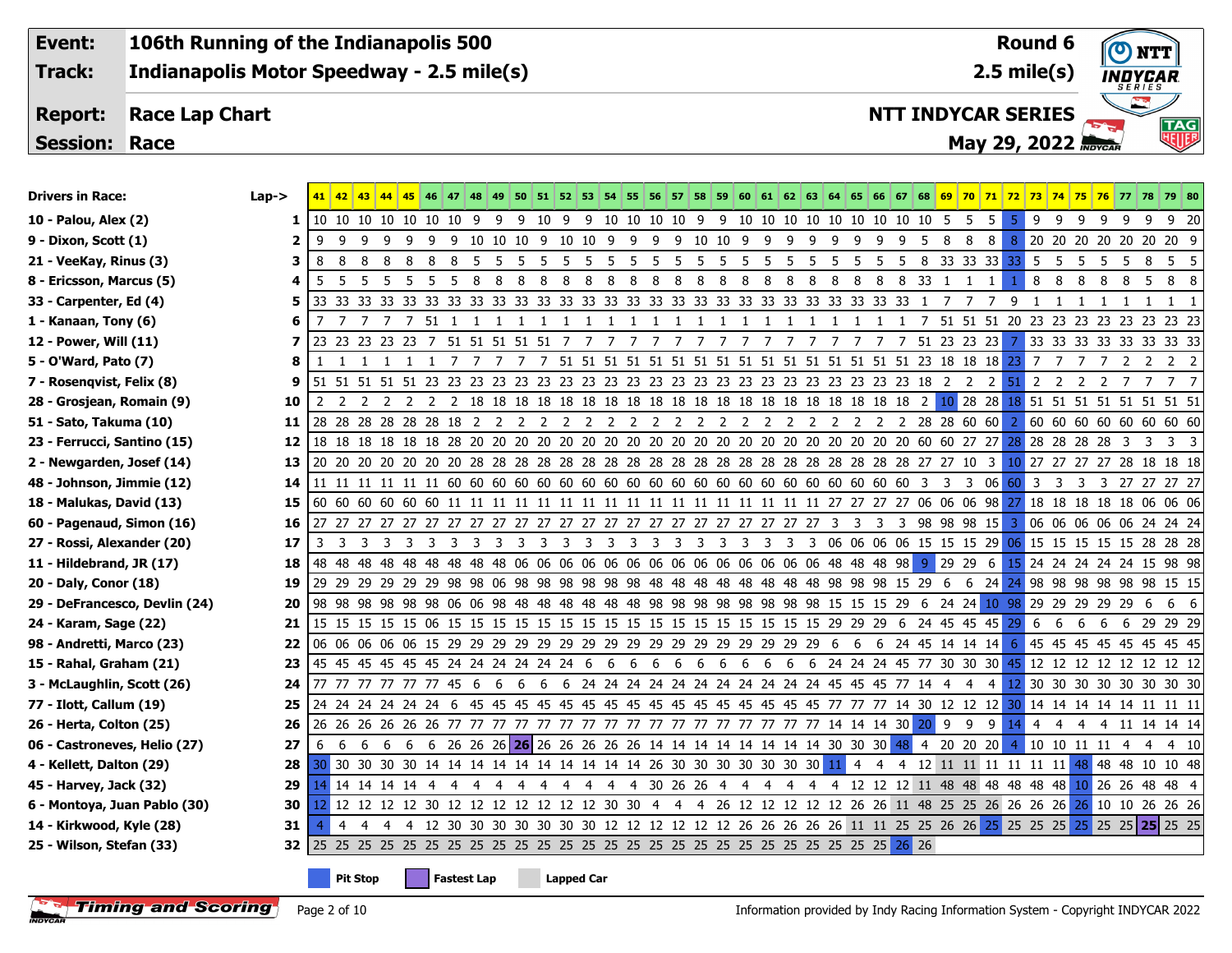**106th Running of the Indianapolis 500 Event: Round 6** $\left($   $\right)$ NTT **2.5 mile(s) Track: Indianapolis Motor Speedway - 2.5 mile(s) INDYCAR Report: Race Lap Chart NTT INDYCAR SERIES TAG**<br>HHIF **May 29, 2022 Session: Race**

| <b>Drivers in Race:</b>       | $Lap-$ |    |     |            |    | 42 43 44 45 46 47 48 49 50 51 52 53 54 55 56 57 58 59 60 61 62 63 64 65 66 67 68 69 70 71 72 73 74 75 76 77 78 79 80                  |     |             |                |                                  |                |    |   |           |    |                |              |    |          |   |                                                              |     |     |                |                |     |   |                                       |    |               |        |
|-------------------------------|--------|----|-----|------------|----|---------------------------------------------------------------------------------------------------------------------------------------|-----|-------------|----------------|----------------------------------|----------------|----|---|-----------|----|----------------|--------------|----|----------|---|--------------------------------------------------------------|-----|-----|----------------|----------------|-----|---|---------------------------------------|----|---------------|--------|
| 10 - Palou, Alex (2)          | 1      |    |     |            |    | 10 10 10 10 10 10 10 10 9 9 9 10 9 9 10 10 10 10 9 9 10 10 10 10 10 10 10 10 10 10 5 5                                                |     |             |                |                                  |                |    |   |           |    |                |              |    |          |   |                                                              |     |     | 5 <sup>1</sup> | 5 <sub>1</sub> |     |   | 99999                                 |    |               | 9 9 20 |
| 9 - Dixon, Scott (1)          | 2      | 9  | -9  | -9<br>-9   |    |                                                                                                                                       |     |             |                |                                  |                |    |   |           |    |                |              |    |          |   |                                                              | - 8 | - 8 | 8              | 8              |     |   | 20 20 20 20 20 20 20 9                |    |               |        |
| 21 - VeeKay, Rinus (3)        | 3      | 8  | - 8 | - 8<br>- 8 | 88 | 8 5 5 5 5 5 5 5 5 5 5 5 5 5 5 5 5                                                                                                     |     |             |                |                                  |                |    |   |           |    |                |              |    |          |   | 5 5 5 5 8 33 33 33 33 5 5                                    |     |     |                |                |     |   | 5 5 5 8 5 5                           |    |               |        |
| 8 - Ericsson, Marcus (5)      | 4      | -5 |     |            |    |                                                                                                                                       |     |             |                |                                  |                |    |   |           |    |                |              |    |          |   |                                                              |     | 1   |                |                |     |   | 8 8 8 8 8 5 8 8                       |    |               |        |
| 33 - Carpenter, Ed (4)        | 5      |    |     |            |    |                                                                                                                                       |     |             |                |                                  |                |    |   |           |    |                |              |    |          |   | 1                                                            |     |     |                | 9              |     |   |                                       | -1 |               | 1 1    |
| 1 - Kanaan, Tony (6)          | 6      | 7  |     | 7          |    | 7 51 1 1                                                                                                                              | - 1 | $1 \quad 1$ | $\blacksquare$ | $\blacksquare$<br>-1             | 1              | -1 |   | 1 1 1 1 1 |    | 1              | 1            | -1 | -1<br>-1 | 1 |                                                              |     |     |                |                |     |   | 7 51 51 51 20 23 23 23 23 23 23 23 23 |    |               |        |
| 12 - Power, Will (11)         | 7      |    |     |            |    | 23 23 23 23 23 7 51 51 51 51 51 7                                                                                                     |     |             |                | $\overline{7}$<br>$\overline{7}$ | $\overline{7}$ | 7  | 7 | 77        | 77 | $\overline{7}$ | <sup>7</sup> | 7  | 7        |   | 7 7 51 23 23 23 7                                            |     |     |                |                |     |   | 33 33 33 33 33 33 33 33 33            |    |               |        |
| 5 - O'Ward, Pato (7)          | 8      |    |     |            |    | 1 1 1 1 1 7 7                                                                                                                         |     |             |                |                                  |                |    |   |           |    |                |              |    |          |   |                                                              |     |     |                |                | 7 7 |   | 772222                                |    |               |        |
| 7 - Rosenqvist, Felix (8)     | 9      |    |     |            |    |                                                                                                                                       |     |             |                |                                  |                |    |   |           |    |                |              |    |          |   |                                                              |     |     |                |                |     |   |                                       |    |               |        |
| 28 - Grosjean, Romain (9)     | 10     | -2 |     |            |    |                                                                                                                                       |     |             |                |                                  |                |    |   |           |    |                |              |    |          |   |                                                              |     |     |                |                |     |   |                                       |    |               |        |
| 51 - Sato, Takuma (10)        | 11     |    |     |            |    |                                                                                                                                       |     |             |                |                                  |                |    |   |           |    |                |              |    |          |   |                                                              |     |     |                |                |     |   |                                       |    |               |        |
| 23 - Ferrucci, Santino (15)   | 12     |    |     |            |    |                                                                                                                                       |     |             |                |                                  |                |    |   |           |    |                |              |    |          |   |                                                              |     |     |                |                |     |   | 28 28 28 28 3 3 3 3                   |    |               |        |
| 2 - Newgarden, Josef (14)     | 13     |    |     |            |    |                                                                                                                                       |     |             |                |                                  |                |    |   |           |    |                |              |    |          |   |                                                              |     |     |                |                |     |   |                                       |    |               |        |
| 48 - Johnson, Jimmie (12)     | 14     |    |     |            |    |                                                                                                                                       |     |             |                |                                  |                |    |   |           |    |                |              |    |          |   |                                                              |     |     |                |                |     |   |                                       |    |               |        |
| 18 - Malukas, David (13)      | 15     |    |     |            |    |                                                                                                                                       |     |             |                |                                  |                |    |   |           |    |                |              |    |          |   |                                                              |     |     |                |                |     |   |                                       |    |               |        |
| 60 - Pagenaud, Simon (16)     | 16     |    |     |            |    |                                                                                                                                       |     |             |                |                                  |                |    |   |           |    |                |              |    |          |   |                                                              |     |     |                |                |     |   |                                       |    |               |        |
| 27 - Rossi, Alexander (20)    | 17     | 3  |     |            |    |                                                                                                                                       |     |             |                |                                  |                |    |   |           |    |                |              |    |          |   |                                                              |     |     |                |                |     |   |                                       |    |               |        |
| 11 - Hildebrand, JR (17)      | 18     |    |     |            |    |                                                                                                                                       |     |             |                |                                  |                |    |   |           |    |                |              |    |          |   |                                                              |     |     |                |                |     |   |                                       |    |               |        |
| 20 - Daly, Conor (18)         | 19     |    |     |            |    | 29 29 29 29 29 29 29 98 98 06 98 98 98 98 98 98 48 48 48 48 48 48 48 48 98 98 98 15 29 6 6 24 <mark>24</mark> 98 98 98 98 98 98 15 15 |     |             |                |                                  |                |    |   |           |    |                |              |    |          |   |                                                              |     |     |                |                |     |   |                                       |    |               |        |
| 29 - DeFrancesco, Devlin (24) | 20     |    |     |            |    | 98 98 98 98 98 98 06 06 98 48 48 48 48 48 48 98 98 98 98 98 98 98 98 15 15 15 29 6 24 24 10 98 29 29 29 29 6                          |     |             |                |                                  |                |    |   |           |    |                |              |    |          |   |                                                              |     |     |                |                |     |   |                                       |    |               | 66     |
| 24 - Karam, Sage (22)         | 21     |    |     |            |    |                                                                                                                                       |     |             |                |                                  |                |    |   |           |    |                |              |    |          |   |                                                              |     |     |                |                | 6 6 |   | 6 6 6 29 29 29                        |    |               |        |
| 98 - Andretti, Marco (23)     | 22     |    |     |            |    |                                                                                                                                       |     |             |                |                                  |                |    |   |           |    |                |              |    |          |   |                                                              |     |     |                |                |     |   | 45 45 45 45 45 45 45 45               |    |               |        |
| 15 - Rahal, Graham (21)       | 23     |    |     |            |    |                                                                                                                                       |     |             |                |                                  |                |    |   |           |    |                |              |    |          |   |                                                              |     |     |                |                |     |   |                                       |    |               |        |
| 3 - McLaughlin, Scott (26)    | 24     |    |     |            |    | 77 77 77 77 77 45 6                                                                                                                   |     |             |                |                                  |                |    |   |           |    |                |              |    |          |   | 6 6 6 6 24 24 24 24 24 24 24 24 24 24 24 24 45 45 45 77 14 4 |     | -4  |                |                |     |   | 4 12 30 30 30 30 30 30 30 30 30       |    |               |        |
| 77 - Ilott, Callum (19)       | 25     |    |     |            |    |                                                                                                                                       |     |             |                |                                  |                |    |   |           |    |                |              |    |          |   |                                                              |     |     |                |                |     |   |                                       |    |               |        |
| 26 - Herta, Colton (25)       | 26     | 26 |     |            |    |                                                                                                                                       |     |             |                |                                  |                |    |   |           |    |                |              |    |          |   |                                                              |     |     |                |                | 4 4 | 4 |                                       |    | 4 11 14 14 14 |        |
| 06 - Castroneves, Helio (27)  | 27     | 6  |     |            |    |                                                                                                                                       |     |             |                |                                  |                |    |   |           |    |                |              |    |          |   |                                                              |     |     |                | $\overline{4}$ |     |   | 10 10 11 11 4 4 4 10                  |    |               |        |
| 4 - Kellett, Dalton (29)      | 28     |    |     |            |    | 30 30 30 30 30 14 14 14 14 14 14 14 14 14 14 26 30 30 30 30 30 30 30 <mark>11</mark> 4 4 4 12 11 11 11 11 11 11 11 148 48 48 10 10 48 |     |             |                |                                  |                |    |   |           |    |                |              |    |          |   |                                                              |     |     |                |                |     |   |                                       |    |               |        |
| 45 - Harvey, Jack (32)        | 29     |    |     |            |    |                                                                                                                                       |     |             |                |                                  |                |    |   |           |    |                |              |    |          |   |                                                              |     |     |                |                |     |   |                                       |    |               |        |
| 6 - Montoya, Juan Pablo (30)  | 30     |    |     |            |    | 12 12 12 12 30 12 12 12 12 12 12 12 30 30 4 4 4 26 12 12 12 12 12 12 26 26 11 48 25 25 26 26 26 26 26 26 10 10 26 26 26               |     |             |                |                                  |                |    |   |           |    |                |              |    |          |   |                                                              |     |     |                |                |     |   |                                       |    |               |        |
| 14 - Kirkwood, Kyle (28)      | 31     |    | 4   | 4          |    | 4 4 12 30 30 30 30 30 30 30 12 12 12 12 12 12 26 26 26 26 26 11 11 25 25 26 26 25 25 25 25                                            |     |             |                |                                  |                |    |   |           |    |                |              |    |          |   |                                                              |     |     |                |                |     |   | 25 25 25 25 25 25                     |    |               |        |
| 25 - Wilson, Stefan (33)      | 32     |    |     |            |    |                                                                                                                                       |     |             |                |                                  |                |    |   |           |    |                |              |    |          |   |                                                              |     |     |                |                |     |   |                                       |    |               |        |
|                               |        |    |     |            |    |                                                                                                                                       |     |             |                |                                  |                |    |   |           |    |                |              |    |          |   |                                                              |     |     |                |                |     |   |                                       |    |               |        |

**Pit Stop Fastest Lap Lapped Car**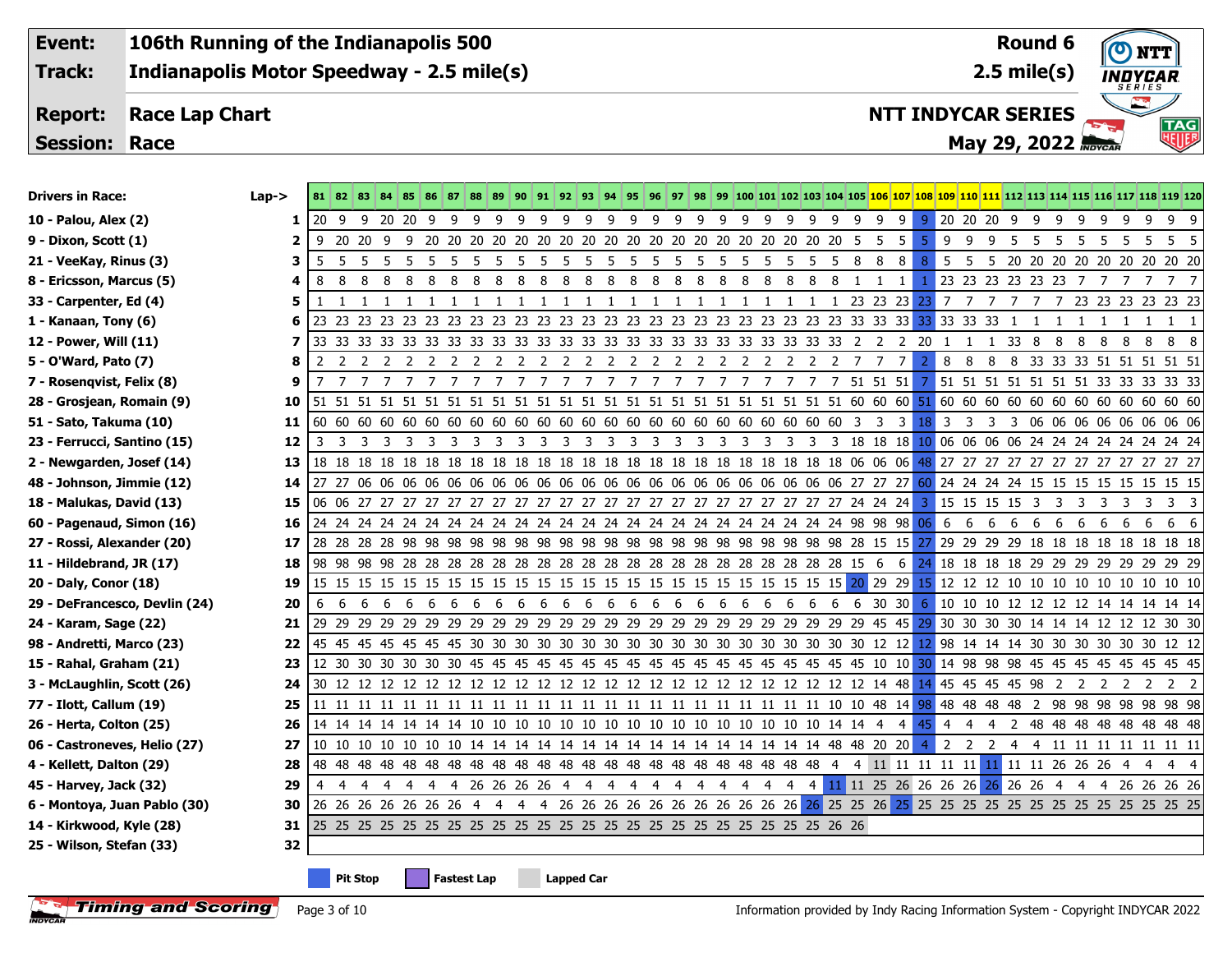**Event: Track:**

**106th Running of the Indianapolis 500 Indianapolis Motor Speedway - 2.5 mile(s)**

## **Race Lap Chart Report:**

**Session: Race**



**TAG**<br>Will

**NTT INDYCAR SERIES**

**May 29, 2022**

| <b>Drivers in Race:</b>       | $Lap->$ |    |    |                    | 81 82 83 84 85 86 87 88 89 90 91 92 93 94 95 96 97 98 99 100 101 102 103 104 105 106 107 108 109 110 111 112 113 114 115 116 117 118 119 120 |              |              |       |              |     |    |              |     |              |     |              |              |  |  |    |                |          |        |   |                                |     |    |   |                                                 |
|-------------------------------|---------|----|----|--------------------|----------------------------------------------------------------------------------------------------------------------------------------------|--------------|--------------|-------|--------------|-----|----|--------------|-----|--------------|-----|--------------|--------------|--|--|----|----------------|----------|--------|---|--------------------------------|-----|----|---|-------------------------------------------------|
| 10 - Palou, Alex (2)          | 1.      |    |    |                    |                                                                                                                                              |              |              |       |              |     |    |              |     |              |     |              |              |  |  |    |                |          |        |   |                                |     |    |   | 999                                             |
| 9 - Dixon, Scott (1)          | 2       |    |    |                    |                                                                                                                                              |              |              |       |              |     |    |              |     |              |     |              |              |  |  |    | -5.            |          |        |   |                                |     |    |   | 9 9 9 5 5 5 5 5 5 5 5 5                         |
| 21 - VeeKay, Rinus (3)        | з       |    |    |                    |                                                                                                                                              |              |              |       |              |     |    |              |     |              |     |              |              |  |  |    | 8              |          |        |   |                                |     |    |   | 5 5 5 20 20 20 20 20 20 20 20 20 20             |
| 8 - Ericsson, Marcus (5)      | 4       |    |    |                    |                                                                                                                                              |              |              |       |              |     |    |              |     |              |     |              |              |  |  | -1 |                |          |        |   |                                |     |    |   | 1 23 23 23 23 23 23 7 7 7 7 7 7 7               |
| 33 - Carpenter, Ed (4)        | 5       | -1 | -1 | -1<br>$\mathbf{1}$ | 1 1                                                                                                                                          | $\mathbf{1}$ | $\mathbf{1}$ | 1 1 1 | $\mathbf{1}$ | - 1 | -1 | $\mathbf{1}$ | 1 1 | $\mathbf{1}$ | - 1 | $\mathbf{1}$ | $\mathbf{1}$ |  |  |    |                |          |        |   |                                |     |    |   | 1 1 1 23 23 23 23 7 7 7 7 7 7 23 23 23 23 23 23 |
| 1 - Kanaan, Tony (6)          | 6       |    |    |                    |                                                                                                                                              |              |              |       |              |     |    |              |     |              |     |              |              |  |  |    |                |          |        | 1 | 1 1 1 1 1 1 1                  |     |    |   |                                                 |
| 12 - Power, Will (11)         | 7       |    |    |                    |                                                                                                                                              |              |              |       |              |     |    |              |     |              |     |              |              |  |  |    |                |          | 1 33 8 |   | - 8<br>8                       | - 8 | -8 | 8 | 88                                              |
| 5 - O'Ward, Pato (7)          | 8       | 2  |    |                    |                                                                                                                                              |              |              |       |              |     |    |              |     |              |     |              |              |  |  |    | 2 <sup>1</sup> | 8<br>- 8 |        |   |                                |     |    |   | 8 8 33 33 33 51 51 51 51 51                     |
| 7 - Rosengvist, Felix (8)     | 9       |    |    |                    |                                                                                                                                              |              |              |       |              |     |    |              |     |              |     |              |              |  |  |    |                |          |        |   |                                |     |    |   |                                                 |
| 28 - Grosjean, Romain (9)     | 10      |    |    |                    |                                                                                                                                              |              |              |       |              |     |    |              |     |              |     |              |              |  |  |    |                |          |        |   |                                |     |    |   |                                                 |
| 51 - Sato, Takuma (10)        | 11      |    |    |                    |                                                                                                                                              |              |              |       |              |     |    |              |     |              |     |              |              |  |  |    |                |          |        |   |                                |     |    |   |                                                 |
| 23 - Ferrucci, Santino (15)   | 12      | 3  |    |                    |                                                                                                                                              |              |              |       |              |     |    |              |     |              |     |              |              |  |  |    |                |          |        |   |                                |     |    |   |                                                 |
| 2 - Newgarden, Josef (14)     | 13      |    |    |                    |                                                                                                                                              |              |              |       |              |     |    |              |     |              |     |              |              |  |  |    |                |          |        |   |                                |     |    |   |                                                 |
| 48 - Johnson, Jimmie (12)     | 14      |    |    |                    |                                                                                                                                              |              |              |       |              |     |    |              |     |              |     |              |              |  |  |    |                |          |        |   |                                |     |    |   |                                                 |
| 18 - Malukas, David (13)      | 15      |    |    |                    |                                                                                                                                              |              |              |       |              |     |    |              |     |              |     |              |              |  |  |    |                |          |        |   |                                |     |    |   |                                                 |
| 60 - Pagenaud, Simon (16)     | 16      |    |    |                    |                                                                                                                                              |              |              |       |              |     |    |              |     |              |     |              |              |  |  |    |                |          |        |   |                                |     |    |   |                                                 |
| 27 - Rossi, Alexander (20)    | 17      |    |    |                    |                                                                                                                                              |              |              |       |              |     |    |              |     |              |     |              |              |  |  |    |                |          |        |   |                                |     |    |   |                                                 |
| 11 - Hildebrand, JR (17)      | 18      |    |    |                    |                                                                                                                                              |              |              |       |              |     |    |              |     |              |     |              |              |  |  |    |                |          |        |   |                                |     |    |   | 24 18 18 18 18 29 29 29 29 29 29 29 29 29       |
| 20 - Daly, Conor (18)         | 19      |    |    |                    |                                                                                                                                              |              |              |       |              |     |    |              |     |              |     |              |              |  |  |    |                |          |        |   |                                |     |    |   |                                                 |
| 29 - DeFrancesco, Devlin (24) | 20      |    |    |                    |                                                                                                                                              |              |              |       |              |     |    |              |     |              |     |              |              |  |  |    |                |          |        |   |                                |     |    |   |                                                 |
| 24 - Karam, Sage (22)         | 21      |    |    |                    |                                                                                                                                              |              |              |       |              |     |    |              |     |              |     |              |              |  |  |    |                |          |        |   |                                |     |    |   |                                                 |
| 98 - Andretti, Marco (23)     | 22      |    |    |                    |                                                                                                                                              |              |              |       |              |     |    |              |     |              |     |              |              |  |  |    |                |          |        |   |                                |     |    |   |                                                 |
| 15 - Rahal, Graham (21)       | 23      |    |    |                    |                                                                                                                                              |              |              |       |              |     |    |              |     |              |     |              |              |  |  |    |                |          |        |   |                                |     |    |   |                                                 |
| 3 - McLaughlin, Scott (26)    | 24      |    |    |                    |                                                                                                                                              |              |              |       |              |     |    |              |     |              |     |              |              |  |  |    |                |          |        |   |                                |     |    |   |                                                 |
| 77 - Ilott, Callum (19)       | 25      |    |    |                    |                                                                                                                                              |              |              |       |              |     |    |              |     |              |     |              |              |  |  |    |                |          |        |   |                                |     |    |   |                                                 |
| 26 - Herta, Colton (25)       | 26      |    |    |                    |                                                                                                                                              |              |              |       |              |     |    |              |     |              |     |              |              |  |  |    |                |          |        |   |                                |     |    |   |                                                 |
| 06 - Castroneves, Helio (27)  | 27      |    |    |                    |                                                                                                                                              |              |              |       |              |     |    |              |     |              |     |              |              |  |  |    | 4              |          |        |   | 2 2 2 4 4 11 11 11 11 11 11 11 |     |    |   |                                                 |
| 4 - Kellett, Dalton (29)      | 28      |    |    |                    |                                                                                                                                              |              |              |       |              |     |    |              |     |              |     |              |              |  |  |    |                |          |        |   |                                |     |    |   |                                                 |
| 45 - Harvey, Jack (32)        | 29      | 4  |    |                    |                                                                                                                                              |              |              |       |              |     |    |              |     |              |     |              |              |  |  |    |                |          |        |   |                                |     |    |   |                                                 |
| 6 - Montoya, Juan Pablo (30)  | 30      |    |    |                    |                                                                                                                                              |              |              |       |              |     |    |              |     |              |     |              |              |  |  |    |                |          |        |   |                                |     |    |   |                                                 |
| 14 - Kirkwood, Kyle (28)      | 31      |    |    |                    |                                                                                                                                              |              |              |       |              |     |    |              |     |              |     |              |              |  |  |    |                |          |        |   |                                |     |    |   |                                                 |
| 25 - Wilson, Stefan (33)      | 32      |    |    |                    |                                                                                                                                              |              |              |       |              |     |    |              |     |              |     |              |              |  |  |    |                |          |        |   |                                |     |    |   |                                                 |
|                               |         |    |    |                    |                                                                                                                                              |              |              |       |              |     |    |              |     |              |     |              |              |  |  |    |                |          |        |   |                                |     |    |   |                                                 |

**Pit Stop Fastest Lap Lapped Car**

**Timing and Scoring** Page 3 of 10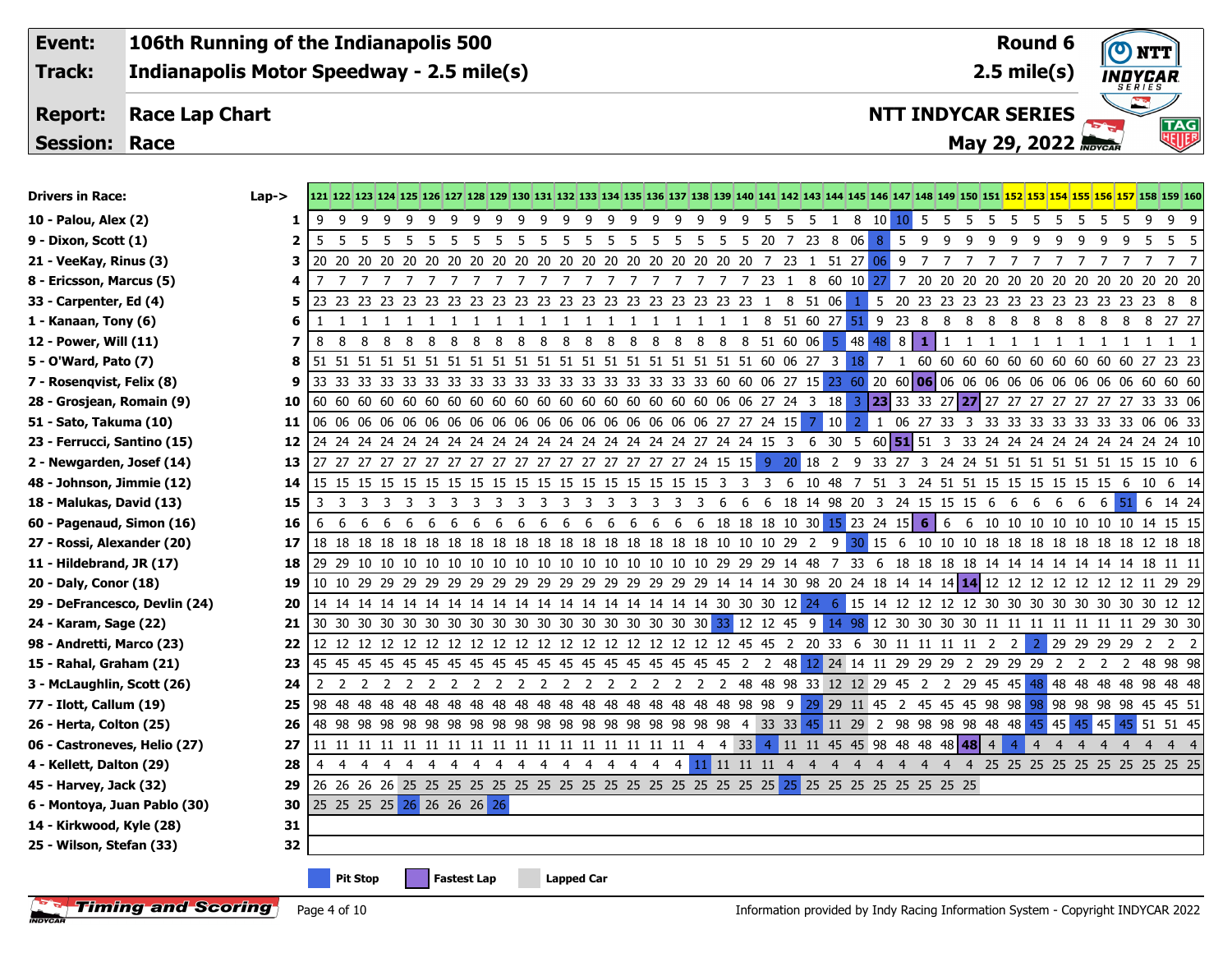**Event:**

**Indianapolis Motor Speedway - 2.5 mile(s) Track:**

**106th Running of the Indianapolis 500**

## **Race Lap Chart Report:**

**Session: Race**

| <b>Drivers in Race:</b>       | $Lap - >$ |           |                |                 |   |     |                             |    |    |    |    |                   |   |              |                |              |    |                 |                |  |            |      |                                        |            |              |   |               |     |                |                |                |                |              |                | 121 122 123 124 125 126 127 128 129 130 131 132 133 134 135 136 137 138 139 140 141 142 143 144 145 146 147 148 149 150 151 152 153 154 155 156 157 158 159 160 |
|-------------------------------|-----------|-----------|----------------|-----------------|---|-----|-----------------------------|----|----|----|----|-------------------|---|--------------|----------------|--------------|----|-----------------|----------------|--|------------|------|----------------------------------------|------------|--------------|---|---------------|-----|----------------|----------------|----------------|----------------|--------------|----------------|-----------------------------------------------------------------------------------------------------------------------------------------------------------------|
| 10 - Palou, Alex (2)          | 1         | $\cdot$ 9 | -9             | 99              |   | 99  | - 9                         | 99 |    | 99 |    |                   |   | 99999        |                |              |    |                 |                |  |            |      | 9 9 9 9 5 5 5 1 8 10 <mark>10</mark> 5 |            |              | 5 | - 5<br>- 5    |     | 5 5 5 5 5      |                |                |                | - 5          | - 9            | 99                                                                                                                                                              |
| 9 - Dixon, Scott (1)          | 2         | 5         |                |                 |   |     |                             |    |    |    |    |                   |   |              |                |              |    |                 |                |  |            |      |                                        | $8 \mid 5$ | 99           |   | - 9<br>- 9    | - 9 | 9              | - 9            | - 9            | - 9            | - 9          | 5              | 5 5                                                                                                                                                             |
| 21 - VeeKay, Rinus (3)        | З         |           |                |                 |   |     |                             |    |    |    |    |                   |   |              |                |              |    |                 |                |  |            |      |                                        |            |              |   |               |     |                |                |                |                |              |                |                                                                                                                                                                 |
| 8 - Ericsson, Marcus (5)      | 4         | 7         |                |                 |   |     | 77777777777                 |    |    |    |    |                   |   | 7            | $\overline{7}$ |              |    |                 |                |  |            |      | 7 7 7 7 7 23 1 8 60 10 27 7            |            |              |   |               |     |                |                |                |                |              |                |                                                                                                                                                                 |
| 33 - Carpenter, Ed (4)        | 5         |           |                |                 |   |     |                             |    |    |    |    |                   |   |              |                |              |    |                 |                |  |            |      |                                        |            |              |   |               |     |                |                |                |                |              |                | 5 20 23 23 23 23 23 23 23 23 23 23 23 23 8 8                                                                                                                    |
| 1 - Kanaan, Tony (6)          | 6         | -1        | $\overline{1}$ | $\overline{1}$  |   |     | 1 1 1 1 1 1 1               |    |    |    | -1 | 1 1               |   | $\mathbf{1}$ | $\mathbf{1}$   | $\mathbf{1}$ | -1 | -1              |                |  |            |      | 1 1 8 51 60 27 51 9 23 8 8             |            |              |   | 8 8 8 8 8 8 8 |     |                |                |                |                |              |                | 8 8 27 27                                                                                                                                                       |
| 12 - Power, Will (11)         | 7         | 8         | 8              | - 8             | 8 | - 8 | 888                         |    | 88 |    | 8  | 8 <sup>8</sup>    | 8 | 88           |                | 8            | 8  | 8               | $\frac{8}{10}$ |  | 8 51 60 06 |      | $5 \ 48 \ 48 \ 8$                      |            | $\mathbf{1}$ | 1 | 1<br>-1       | -1  | 1              | 1              | -1             | -1             | $\mathbf{1}$ |                | $1 \quad 1 \quad 1$                                                                                                                                             |
| 5 - O'Ward, Pato (7)          | 8         |           |                |                 |   |     |                             |    |    |    |    |                   |   |              |                |              |    |                 |                |  |            |      |                                        |            |              |   |               |     |                |                |                |                |              |                | 1 60 60 60 60 60 60 60 60 60 60 27 23 23                                                                                                                        |
| 7 - Rosenqvist, Felix (8)     | 9         |           |                |                 |   |     |                             |    |    |    |    |                   |   |              |                |              |    |                 |                |  |            |      |                                        |            |              |   |               |     |                |                |                |                |              |                |                                                                                                                                                                 |
| 28 - Grosjean, Romain (9)     | 10        |           |                |                 |   |     |                             |    |    |    |    |                   |   |              |                |              |    |                 |                |  |            |      |                                        |            |              |   |               |     |                |                |                |                |              |                |                                                                                                                                                                 |
| 51 - Sato, Takuma (10)        | 11        |           |                |                 |   |     |                             |    |    |    |    |                   |   |              |                |              |    |                 |                |  |            | 7 10 |                                        |            |              |   |               |     |                |                |                |                |              |                | 2 1 06 27 33 3 33 33 33 33 33 33 33 06 06 33                                                                                                                    |
| 23 - Ferrucci, Santino (15)   | 12        |           |                |                 |   |     |                             |    |    |    |    |                   |   |              |                |              |    |                 |                |  |            |      |                                        |            |              |   |               |     |                |                |                |                |              |                |                                                                                                                                                                 |
| 2 - Newgarden, Josef (14)     | 13        |           |                |                 |   |     |                             |    |    |    |    |                   |   |              |                |              |    |                 |                |  |            |      |                                        |            |              |   |               |     |                |                |                |                |              |                |                                                                                                                                                                 |
| 48 - Johnson, Jimmie (12)     | 14        |           |                |                 |   |     |                             |    |    |    |    |                   |   |              |                |              |    |                 |                |  |            |      |                                        |            |              |   |               |     |                |                |                |                |              |                |                                                                                                                                                                 |
| 18 - Malukas, David (13)      | 15        |           |                |                 |   |     |                             |    |    |    |    |                   |   |              |                |              |    |                 |                |  |            |      |                                        |            |              |   |               |     |                |                |                |                |              |                | 3 3 3 3 3 3 3 3 3 3 3 3 3 3 3 3 3 3 6 6 6 18 14 98 20 3 24 15 15 15 6 6 6 6 6 6 51 6 14 24                                                                      |
| 60 - Pagenaud, Simon (16)     | 16        | -6        |                |                 |   |     |                             |    |    |    |    |                   |   |              |                |              |    |                 |                |  |            |      |                                        |            |              |   |               |     |                |                |                |                |              |                | 6 6 6 6 6 6 6 6 6 6 6 6 6 6 6 6 6 6 7 8 18 18 19 10 30 15 23 24 15 6 6 6 10 10 10 10 10 10 10 14 15 15                                                          |
| 27 - Rossi, Alexander (20)    | 17        |           |                |                 |   |     |                             |    |    |    |    |                   |   |              |                |              |    |                 |                |  |            |      |                                        |            |              |   |               |     |                |                |                |                |              |                |                                                                                                                                                                 |
| 11 - Hildebrand, JR (17)      | 18        |           |                |                 |   |     |                             |    |    |    |    |                   |   |              |                |              |    |                 |                |  |            |      |                                        |            |              |   |               |     |                |                |                |                |              |                |                                                                                                                                                                 |
| 20 - Daly, Conor (18)         | 19        |           |                |                 |   |     |                             |    |    |    |    |                   |   |              |                |              |    |                 |                |  |            |      |                                        |            |              |   |               |     |                |                |                |                |              |                |                                                                                                                                                                 |
| 29 - DeFrancesco, Devlin (24) | 20        |           |                |                 |   |     |                             |    |    |    |    |                   |   |              |                |              |    |                 |                |  |            |      |                                        |            |              |   |               |     |                |                |                |                |              |                |                                                                                                                                                                 |
| 24 - Karam, Sage (22)         | 21        |           |                |                 |   |     |                             |    |    |    |    |                   |   |              |                |              |    |                 |                |  |            |      |                                        |            |              |   |               |     |                |                |                |                |              |                |                                                                                                                                                                 |
| 98 - Andretti, Marco (23)     | 22        |           |                |                 |   |     |                             |    |    |    |    |                   |   |              |                |              |    |                 |                |  |            |      |                                        |            |              |   |               |     |                |                |                |                |              |                | 2 29 29 29 29 2 2 2                                                                                                                                             |
| 15 - Rahal, Graham (21)       | 23        |           |                |                 |   |     |                             |    |    |    |    |                   |   |              |                |              |    |                 |                |  |            |      |                                        |            |              |   |               |     |                |                |                |                |              |                |                                                                                                                                                                 |
| 3 - McLaughlin, Scott (26)    | 24        | 2         |                |                 |   |     |                             |    |    |    |    |                   |   |              |                |              |    |                 |                |  |            |      |                                        |            |              |   |               |     |                |                |                |                |              |                |                                                                                                                                                                 |
| 77 - Ilott, Callum (19)       | 25        |           |                |                 |   |     |                             |    |    |    |    |                   |   |              |                |              |    |                 |                |  |            |      |                                        |            |              |   |               |     |                |                |                |                |              |                |                                                                                                                                                                 |
| 26 - Herta, Colton (25)       | 26        |           |                |                 |   |     |                             |    |    |    |    |                   |   |              |                |              |    |                 |                |  |            |      |                                        |            |              |   |               |     |                |                |                | 45 45          |              |                | $ 45 $ 51 51 45                                                                                                                                                 |
| 06 - Castroneves, Helio (27)  | 27        |           |                |                 |   |     |                             |    |    |    |    |                   |   |              |                |              |    |                 |                |  |            |      |                                        |            |              |   |               |     | $\overline{4}$ | $\overline{4}$ | $\overline{4}$ | $\overline{4}$ | 4            | $\overline{4}$ | $4 \quad 4$                                                                                                                                                     |
| 4 - Kellett, Dalton (29)      | 28        | -4        |                |                 |   |     | 4 4 4 4 4 4 4 4 4 4 4 4 4 4 |    |    |    |    |                   |   |              |                | 4            |    | 4 11 11 11 11 4 |                |  |            |      |                                        |            |              |   |               |     |                |                |                |                |              |                | 4 4 4 4 4 4 4 4 25 25 25 25 25 25 25 25 25 25                                                                                                                   |
| 45 - Harvey, Jack (32)        | 29        |           |                |                 |   |     |                             |    |    |    |    |                   |   |              |                |              |    |                 |                |  |            |      |                                        |            |              |   |               |     |                |                |                |                |              |                |                                                                                                                                                                 |
| 6 - Montoya, Juan Pablo (30)  | 30        |           |                |                 |   |     | 25 25 25 25 26 26 26 26 26  |    |    |    |    |                   |   |              |                |              |    |                 |                |  |            |      |                                        |            |              |   |               |     |                |                |                |                |              |                |                                                                                                                                                                 |
| 14 - Kirkwood, Kyle (28)      | 31        |           |                |                 |   |     |                             |    |    |    |    |                   |   |              |                |              |    |                 |                |  |            |      |                                        |            |              |   |               |     |                |                |                |                |              |                |                                                                                                                                                                 |
| 25 - Wilson, Stefan (33)      | 32        |           |                |                 |   |     |                             |    |    |    |    |                   |   |              |                |              |    |                 |                |  |            |      |                                        |            |              |   |               |     |                |                |                |                |              |                |                                                                                                                                                                 |
|                               |           |           |                | <b>Pit Stop</b> |   |     | <b>Fastest Lap</b>          |    |    |    |    | <b>Lapped Car</b> |   |              |                |              |    |                 |                |  |            |      |                                        |            |              |   |               |     |                |                |                |                |              |                |                                                                                                                                                                 |



**NTT INDYCAR SERIES**

**2.5 mile(s) Round 6**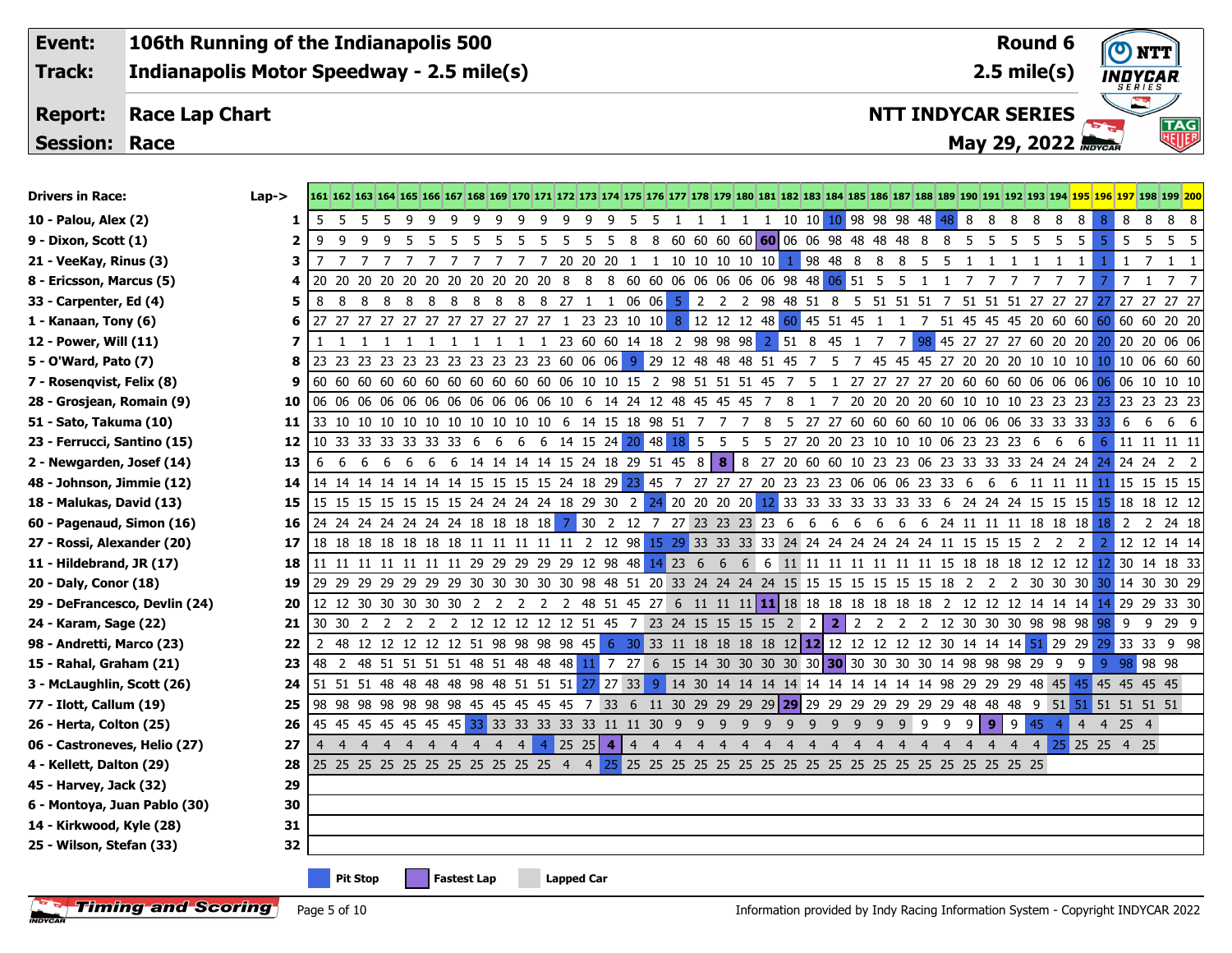**Event: Track:**

**106th Running of the Indianapolis 500 Indianapolis Motor Speedway - 2.5 mile(s)**

## **Race Lap Chart Report:**

**Session: Race**

| 10 - Palou, Alex (2)          | 1  | -5             |     |                 |                                                                                                   |                    |  |    |                   |    |  |  |                                          |  |     |     |                |     |                 |     |     | 8            | 8 8    |     | 8<br>8  | 8                                                                                                                                   | 8 <sup>°</sup> | 8  |          | 8 8 8                                                                                                                                      |
|-------------------------------|----|----------------|-----|-----------------|---------------------------------------------------------------------------------------------------|--------------------|--|----|-------------------|----|--|--|------------------------------------------|--|-----|-----|----------------|-----|-----------------|-----|-----|--------------|--------|-----|---------|-------------------------------------------------------------------------------------------------------------------------------------|----------------|----|----------|--------------------------------------------------------------------------------------------------------------------------------------------|
| 9 - Dixon, Scott (1)          |    | 9              |     |                 |                                                                                                   |                    |  | -5 |                   | -5 |  |  | 5 8 8 60 60 60 60 60 06 06 98 48 48 48 8 |  |     |     |                |     |                 |     | 8   | 5            | 5      | - 5 | -5<br>5 | 5                                                                                                                                   | $5 \mid 5$     |    |          | 5 5 5                                                                                                                                      |
| 21 - VeeKay, Rinus (3)        | з  |                |     |                 | 7 7 7 7 7 7 7 7 7 7 20 20 20 1 1 10 10 10 10 10 10 1 98 48 8 8 8 5                                |                    |  |    |                   |    |  |  |                                          |  |     |     |                |     |                 |     | - 5 | $\mathbf{1}$ | -1     | -1  |         | -1<br>1                                                                                                                             |                | -1 |          | 7 1 1                                                                                                                                      |
| 8 - Ericsson, Marcus (5)      | 4  |                |     |                 | 20 20 20 20 20 20 20 20 20 20 20 8 8 8 60 60 06 06 06 06 06 98 48 06 51 5 5 1 1 7 7 7             |                    |  |    |                   |    |  |  |                                          |  |     |     |                |     |                 |     |     |              |        |     | 7       | $7\overline{ }$<br>7                                                                                                                |                |    |          | 1 7 7                                                                                                                                      |
| 33 - Carpenter, Ed (4)        | 5  | 8              | - 8 |                 |                                                                                                   |                    |  |    |                   |    |  |  |                                          |  |     |     |                |     |                 |     |     |              |        |     |         |                                                                                                                                     |                |    |          | 8 8 8 8 8 8 8 8 8 27 1 1 06 06 5 2 2 2 98 48 51 8 5 51 51 51 7 51 51 51 57 27 27 27 27 27 27 27                                            |
| 1 - Kanaan, Tony (6)          | 6  |                |     |                 |                                                                                                   |                    |  |    |                   |    |  |  |                                          |  |     |     |                |     |                 |     |     |              |        |     |         |                                                                                                                                     |                |    |          | 27 27 27 27 27 27 27 27 27 27 27 27 1 23 23 10 10 8 12 12 12 48 60 45 51 45 1 1 7 51 45 45 45 20 60 60 60 60 60 20 20                      |
| 12 - Power, Will (11)         |    |                |     |                 | 1 1 1 1 1 1 1 1 1 1 23 60 60 14 18 2 98 98 98                                                     |                    |  |    |                   |    |  |  |                                          |  |     |     |                |     | 2 51 8 45 1 7 7 |     |     |              |        |     |         |                                                                                                                                     |                |    |          | 98 45 27 27 27 60 20 20 20 20 20 06 06                                                                                                     |
| 5 - O'Ward, Pato (7)          | 8  |                |     |                 |                                                                                                   |                    |  |    |                   |    |  |  |                                          |  |     |     |                |     |                 |     |     |              |        |     |         |                                                                                                                                     |                |    |          | 23 23 23 23 23 23 23 23 23 23 23 60 06 06 9 29 12 48 48 48 51 45 7 5 7 45 45 47 27 20 20 20 10 10 10 10 10 6 60 60                         |
| 7 - Rosenqvist, Felix (8)     | 9  |                |     |                 |                                                                                                   |                    |  |    |                   |    |  |  |                                          |  |     |     |                |     |                 |     |     |              |        |     |         |                                                                                                                                     |                |    |          | 60 60 60 60 60 60 60 60 60 60 60 60 06 10 10 15 2 98 51 51 51 45 7 5 1 27 27 27 27 20 60 60 60 06 06 06 <mark>06</mark> 06 10 10 10        |
| 28 - Grosjean, Romain (9)     | 10 |                |     |                 |                                                                                                   |                    |  |    |                   |    |  |  |                                          |  |     |     |                |     |                 |     |     |              |        |     |         |                                                                                                                                     |                |    |          | 06 06 06 06 06 06 06 06 06 06 06 06 10 6 14 24 12 48 45 45 45 7 8 1 7 20 20 20 20 60 10 10 10 23 23 23 23 23 23 23 23                      |
| 51 - Sato, Takuma (10)        | 11 |                |     |                 |                                                                                                   |                    |  |    |                   |    |  |  |                                          |  |     |     |                |     |                 |     |     |              |        |     |         | 33 10 10 10 10 10 10 10 10 10 10 10 6 14 15 18 98 51 7 7 7 8 5 27 27 60 60 60 60 10 06 06 06 33 33 33 33                            |                | 6  |          | 666                                                                                                                                        |
| 23 - Ferrucci, Santino (15)   | 12 |                |     |                 |                                                                                                   |                    |  |    |                   |    |  |  |                                          |  |     |     |                |     |                 |     |     |              |        |     |         | 10 33 33 33 33 33 33 6 6 6 6 14 15 24 20 48 18 5 5 5 5 27 20 20 23 10 10 10 06 23 23 23 6 6 6                                       |                |    |          | 6 11 11 11 11                                                                                                                              |
| 2 - Newgarden, Josef (14)     | 13 | -6             |     |                 |                                                                                                   |                    |  |    |                   |    |  |  |                                          |  |     |     |                |     |                 |     |     |              |        |     |         |                                                                                                                                     |                |    |          | 6 6 6 6 6 6 14 14 14 15 24 18 29 51 45 8 8 8 27 20 60 60 10 23 23 06 23 33 33 33 24 24 24 24 24 24 2                                       |
| 48 - Johnson, Jimmie (12)     | 14 |                |     |                 |                                                                                                   |                    |  |    |                   |    |  |  |                                          |  |     |     |                |     |                 |     |     |              |        |     |         |                                                                                                                                     |                |    |          | 14 14 14 14 14 14 14 15 15 15 15 15 24 18 29 23 45 7 27 27 27 20 23 23 23 06 06 06 23 33 6 6 6 11 11 11 <mark>11</mark> 15 15 15 15        |
| 18 - Malukas, David (13)      | 15 |                |     |                 | 15 15 15 15 15 15 15 15 24 24 24 24 18 29 30 2                                                    |                    |  |    |                   |    |  |  |                                          |  |     |     |                |     |                 |     |     |              |        |     |         |                                                                                                                                     |                |    |          | 24 20 20 20 20 21 33 33 33 33 33 33 33 33 6 24 24 24 15 15 15 15 18 18 12 12                                                               |
| 60 - Pagenaud, Simon (16)     | 16 |                |     |                 |                                                                                                   |                    |  |    |                   |    |  |  |                                          |  |     |     |                |     |                 |     |     |              |        |     |         |                                                                                                                                     |                |    |          | 24 24 24 24 24 24 24 18 18 18 18 18 <mark>7</mark> 30 2 12 7 27 23 23 23 23 6 6 6 6 6 6 6 6 24 11 11 11 18 18 18 <mark>18</mark> 2 2 24 18 |
| 27 - Rossi, Alexander (20)    | 17 |                |     |                 |                                                                                                   |                    |  |    |                   |    |  |  |                                          |  |     |     |                |     |                 |     |     |              |        |     |         |                                                                                                                                     |                |    |          | 2 12 12 14 14                                                                                                                              |
| 11 - Hildebrand, JR (17)      | 18 |                |     |                 |                                                                                                   |                    |  |    |                   |    |  |  |                                          |  |     |     |                |     |                 |     |     |              |        |     |         |                                                                                                                                     |                |    |          | 11 11 11 11 11 11 11 11 29 29 29 29 12 98 48 14 23 6 6 6 6 11 11 11 11 11 11 11 15 18 18 18 12 12 12 12 30 14 18 33                        |
| 20 - Daly, Conor (18)         | 19 |                |     |                 |                                                                                                   |                    |  |    |                   |    |  |  |                                          |  |     |     |                |     |                 |     |     |              |        |     |         |                                                                                                                                     |                |    |          | 29 29 29 29 29 29 29 30 30 30 30 30 98 48 51 20 33 24 24 24 24 15 15 15 15 15 15 15 18 2 2 2 30 30 30 <mark>30</mark> 14 30 30 29          |
| 29 - DeFrancesco, Devlin (24) | 20 |                |     |                 |                                                                                                   |                    |  |    |                   |    |  |  |                                          |  |     |     |                |     |                 |     |     |              |        |     |         |                                                                                                                                     |                |    |          | 12 12 30 30 30 30 30 2 2 2 2 48 51 45 27 6 11 11 11 11 18 18 18 18 18 18 18 2 12 12 14 14 14 14 29 29 33 30                                |
| 24 - Karam, Sage (22)         | 21 |                |     |                 | 30 30 2 2 2 2 2 12 12 12 12 12 51 45 7 23 24 15 15 15 15 2 2                                      |                    |  |    |                   |    |  |  |                                          |  |     |     |                |     |                 |     |     |              |        |     |         | 2 2 2 2 2 12 30 30 30 98 98 98 98                                                                                                   |                | 9  |          | 9 29 9                                                                                                                                     |
| 98 - Andretti, Marco (23)     | 22 | $\overline{2}$ |     |                 |                                                                                                   |                    |  |    |                   |    |  |  |                                          |  |     |     |                |     |                 |     |     |              |        |     |         |                                                                                                                                     |                |    |          | 48 12 12 12 12 12 51 98 98 98 98 45 6 30 33 11 18 18 18 18 12 12 12 12 12 12 12 30 14 14 14 51 29 29 <mark>29</mark> 33 33 9 98            |
| 15 - Rahal, Graham (21)       | 23 |                |     |                 | 48 2 48 51 51 51 51 48 51 48 48 48 11 7 27 6 15 14 30 30 30 30 30 30 30 30 30 30 44 98 98 98 29 9 |                    |  |    |                   |    |  |  |                                          |  |     |     |                |     |                 |     |     |              |        |     |         | - 9                                                                                                                                 | -9             |    | 98 98 98 |                                                                                                                                            |
| 3 - McLaughlin, Scott (26)    | 24 |                |     |                 |                                                                                                   |                    |  |    |                   |    |  |  |                                          |  |     |     |                |     |                 |     |     |              |        |     |         | 51 51 51 48 48 48 48 98 48 51 51 51 <mark>27</mark> 27 33 9 14 30 14 14 14 14 14 14 14 14 14 14 98 29 29 29 48 45 45 45 45 45 45 45 |                |    |          |                                                                                                                                            |
| 77 - Ilott, Callum (19)       | 25 |                |     |                 |                                                                                                   |                    |  |    |                   |    |  |  |                                          |  |     |     |                |     |                 |     |     |              |        |     |         | 98 98 98 98 98 98 98 45 45 45 45 45 7 33 6 11 30 29 29 29 29 29 29 29 29 29 29 29 29 48 48 48 9 51 51 51 51 51                      |                |    |          |                                                                                                                                            |
| 26 - Herta, Colton (25)       | 26 |                |     |                 | 45 45 45 45 45 45 45 45 33 33 33 33 33 33 11 11 30 9 9 9 9                                        |                    |  |    |                   |    |  |  |                                          |  | - 9 | - 9 | $\overline{9}$ | 999 |                 | 999 |     | 9            | $9$  9 |     | 45      | $\overline{4}$                                                                                                                      | 4 4 25 4       |    |          |                                                                                                                                            |
| 06 - Castroneves, Helio (27)  | 27 | $\overline{4}$ |     |                 |                                                                                                   |                    |  |    |                   |    |  |  |                                          |  |     |     |                |     |                 |     |     |              |        |     |         |                                                                                                                                     |                |    |          |                                                                                                                                            |
| 4 - Kellett, Dalton (29)      | 28 |                |     |                 |                                                                                                   |                    |  |    |                   |    |  |  |                                          |  |     |     |                |     |                 |     |     |              |        |     |         |                                                                                                                                     |                |    |          |                                                                                                                                            |
| 45 - Harvey, Jack (32)        | 29 |                |     |                 |                                                                                                   |                    |  |    |                   |    |  |  |                                          |  |     |     |                |     |                 |     |     |              |        |     |         |                                                                                                                                     |                |    |          |                                                                                                                                            |
| 6 - Montoya, Juan Pablo (30)  | 30 |                |     |                 |                                                                                                   |                    |  |    |                   |    |  |  |                                          |  |     |     |                |     |                 |     |     |              |        |     |         |                                                                                                                                     |                |    |          |                                                                                                                                            |
| 14 - Kirkwood, Kyle (28)      | 31 |                |     |                 |                                                                                                   |                    |  |    |                   |    |  |  |                                          |  |     |     |                |     |                 |     |     |              |        |     |         |                                                                                                                                     |                |    |          |                                                                                                                                            |
| 25 - Wilson, Stefan (33)      | 32 |                |     |                 |                                                                                                   |                    |  |    |                   |    |  |  |                                          |  |     |     |                |     |                 |     |     |              |        |     |         |                                                                                                                                     |                |    |          |                                                                                                                                            |
|                               |    |                |     | <b>Pit Stop</b> |                                                                                                   | <b>Fastest Lap</b> |  |    | <b>Lapped Car</b> |    |  |  |                                          |  |     |     |                |     |                 |     |     |              |        |     |         |                                                                                                                                     |                |    |          |                                                                                                                                            |

Drivers in Race: Lap-> 161 162 163 164 165 166 167 168 169 170 171 172 173 174 175 176 177 178 179 180 181 182 183 184 185 186 187 188 189 190 191 192 193 194 195 196 197 198 199 200

**NTT INDYCAR SERIES**

**2.5 mile(s) Round 6**

**INDYCAR** 

**TAG** 

**May 29, 2022 MoveAR** 

**Timing and Scoring** Page 5 of 10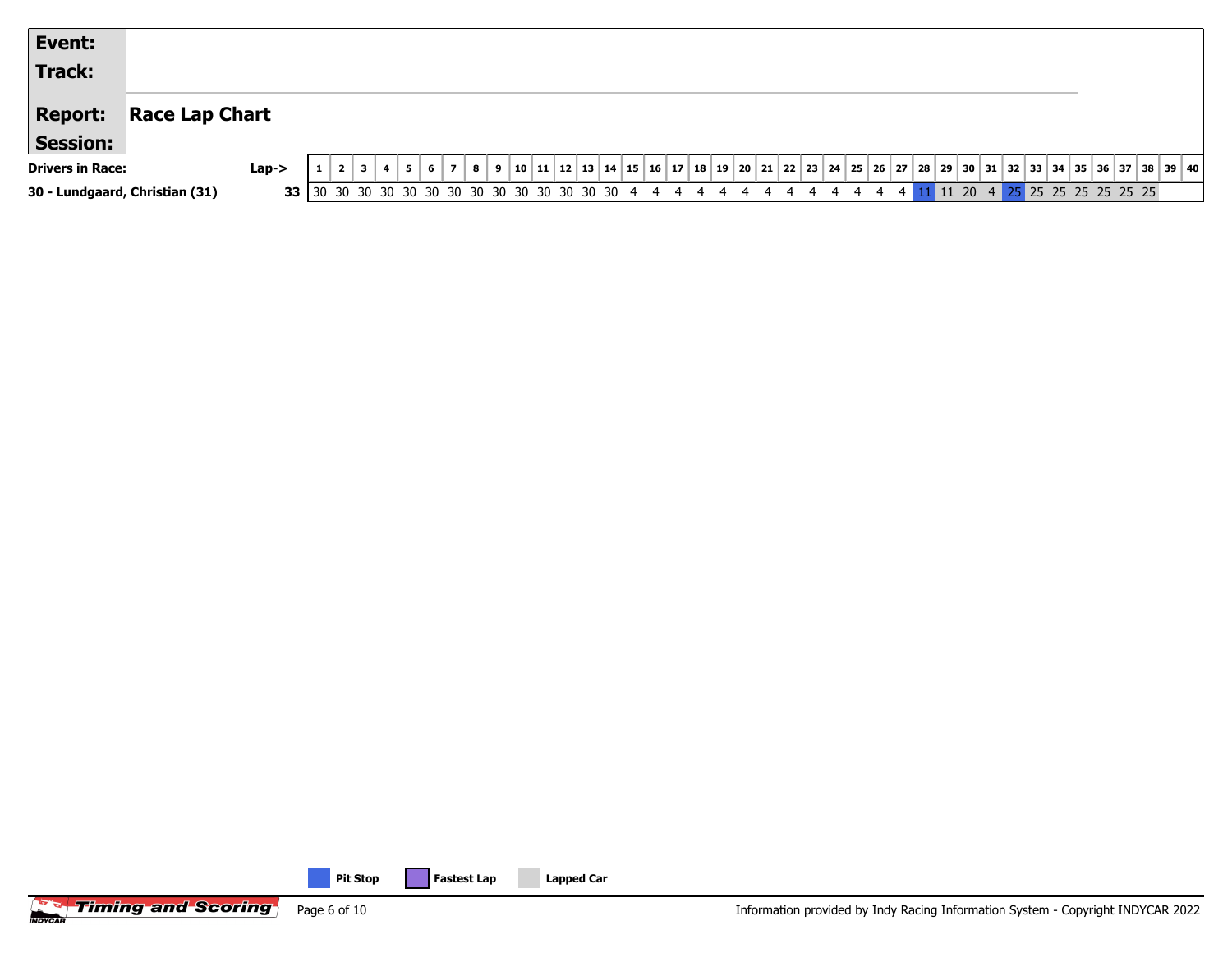| Event:                         |                       |         |  |  |  |   |   |  |  |  |  |  |  |  |         |  |  |                      |  |                                                                                              |
|--------------------------------|-----------------------|---------|--|--|--|---|---|--|--|--|--|--|--|--|---------|--|--|----------------------|--|----------------------------------------------------------------------------------------------|
| <b>Track:</b>                  |                       |         |  |  |  |   |   |  |  |  |  |  |  |  |         |  |  |                      |  |                                                                                              |
| <b>Report:</b>                 | <b>Race Lap Chart</b> |         |  |  |  |   |   |  |  |  |  |  |  |  |         |  |  |                      |  |                                                                                              |
| <b>Session:</b>                |                       |         |  |  |  |   |   |  |  |  |  |  |  |  |         |  |  |                      |  |                                                                                              |
| <b>Drivers in Race:</b>        |                       | $Lap->$ |  |  |  | 8 | 9 |  |  |  |  |  |  |  |         |  |  |                      |  | 10 11 12 13 14 15 16 17 18 19 20 21 22 23 24 25 26 27 28 29 30 31 32 33 34 35 36 37 38 39 40 |
| 30 - Lundgaard, Christian (31) |                       |         |  |  |  |   |   |  |  |  |  |  |  |  | 11 20 4 |  |  | 25 25 25 25 25 25 25 |  |                                                                                              |

**Filming and Scoring** Page 6 of 10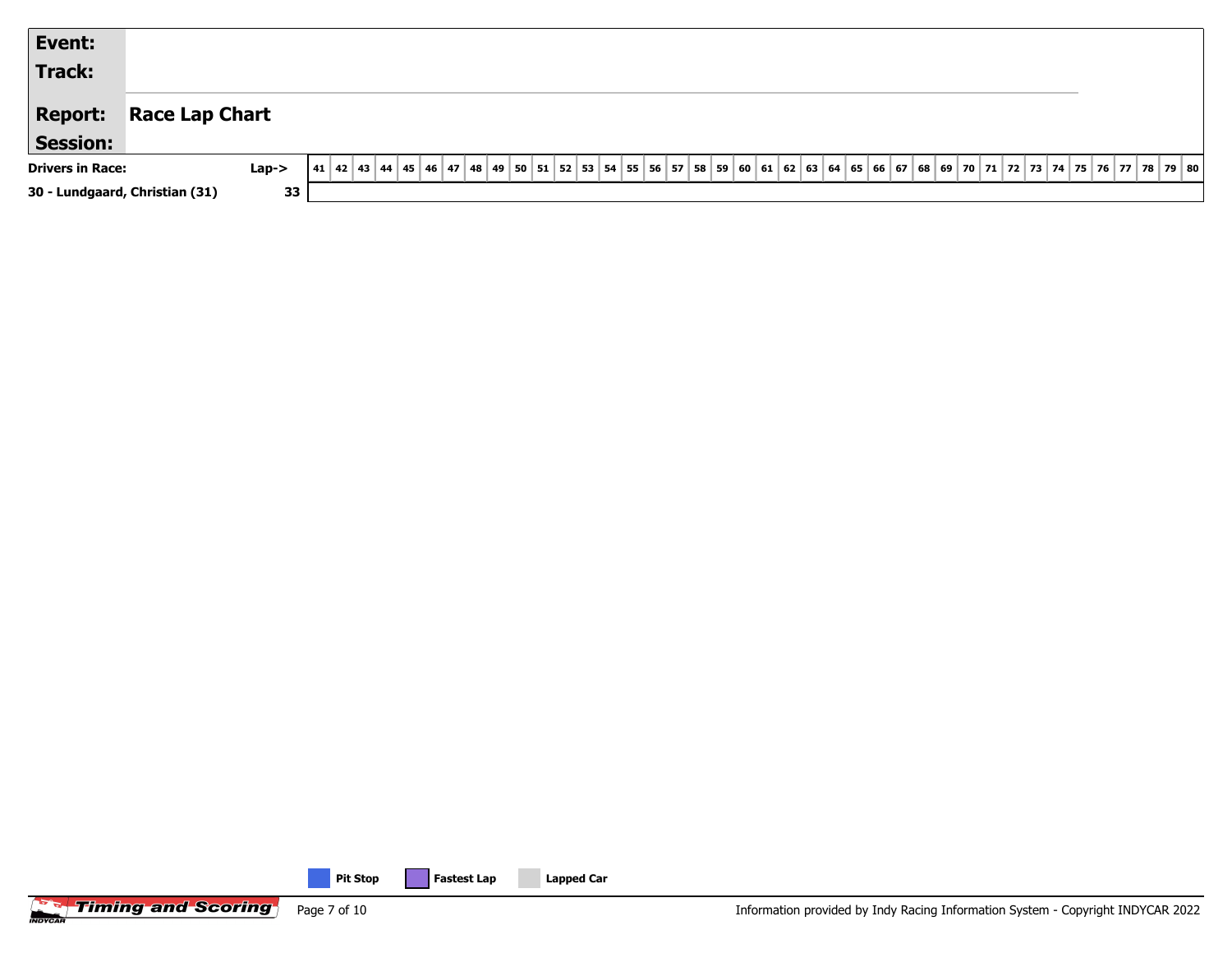| Event:                         |                       |                                                                                                                              |  |
|--------------------------------|-----------------------|------------------------------------------------------------------------------------------------------------------------------|--|
| Track:                         |                       |                                                                                                                              |  |
| <b>Report:</b>                 | <b>Race Lap Chart</b> |                                                                                                                              |  |
| <b>Session:</b>                |                       |                                                                                                                              |  |
| <b>Drivers in Race:</b>        | $Lap->$               | 42 43 44 45 46 47 48 49 50 51 52 53 54 55 56 57 58 59 60 61 62 63 64 65 66 67 68 69 70 71 72 73 74 75 76 77 78 79 80<br>  41 |  |
| 30 - Lundgaard, Christian (31) | 33                    |                                                                                                                              |  |



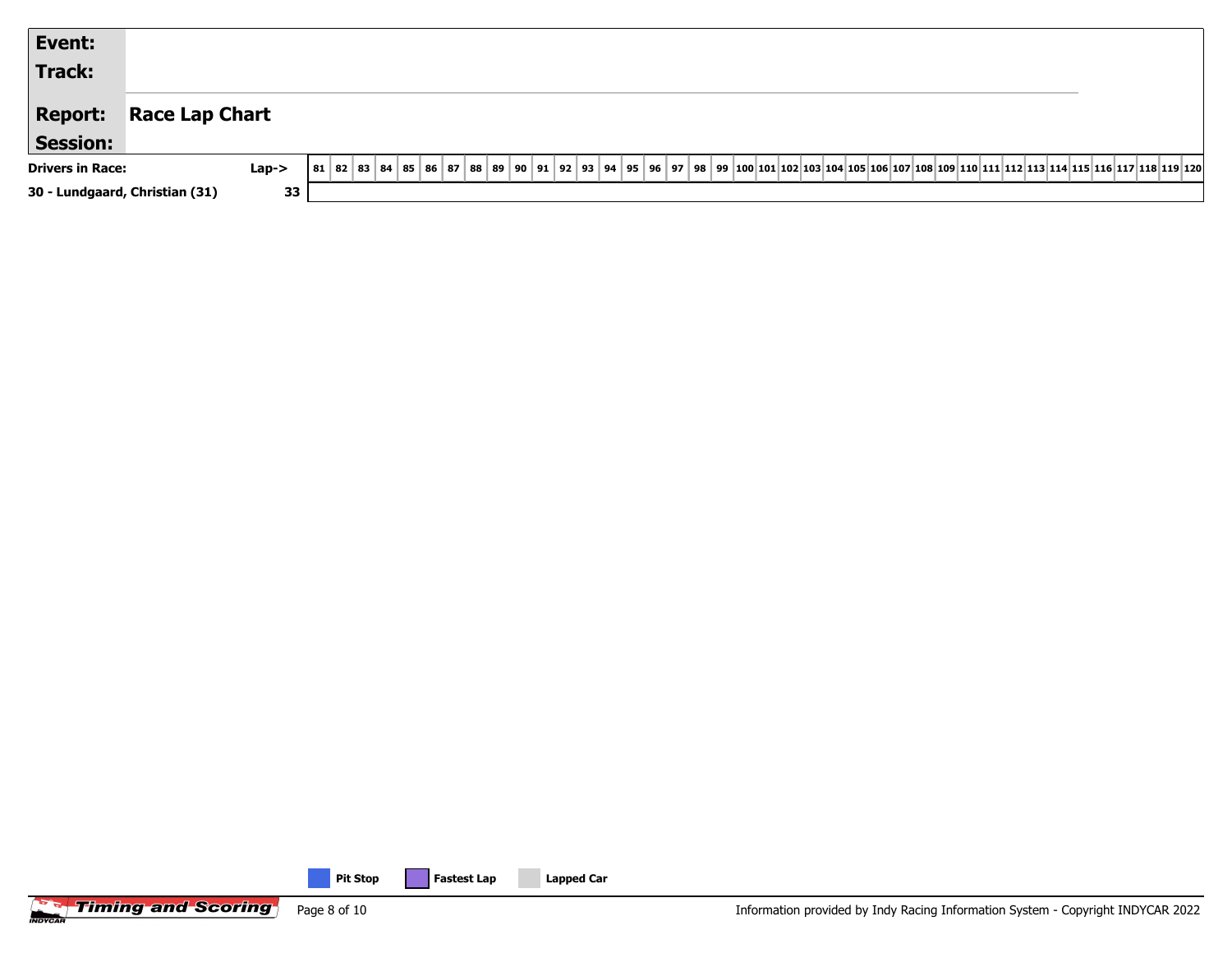| Event:                            |                                                                                                                                                         |
|-----------------------------------|---------------------------------------------------------------------------------------------------------------------------------------------------------|
| Track:                            |                                                                                                                                                         |
| <b>Report:</b><br><b>Session:</b> | <b>Race Lap Chart</b>                                                                                                                                   |
| <b>Drivers in Race:</b>           | 81 82 83 84 85 86 87 88 89 90 91 92 93 94 95 96 97 98 99 100 101 102 103 104 105 106 107 108 109 110 111 112 113 114 115 116 117 118 119 120<br>$Lap->$ |
| 30 - Lundgaard, Christian (31)    | 33                                                                                                                                                      |

**Filming and Scoring** Page 8 of 10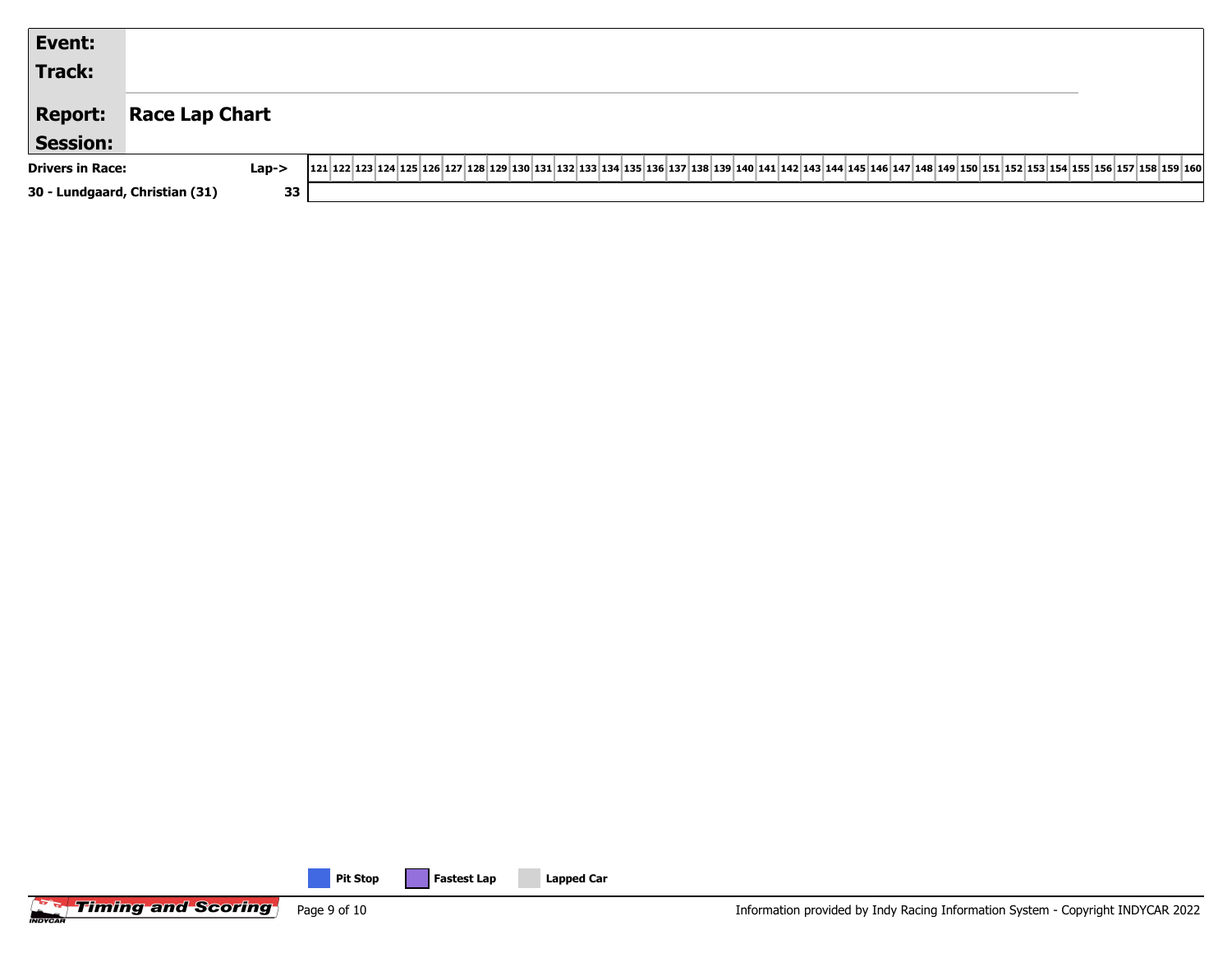| Event:                         |                                                                                                                                                                                                                                              |  |
|--------------------------------|----------------------------------------------------------------------------------------------------------------------------------------------------------------------------------------------------------------------------------------------|--|
| <b>Track:</b>                  |                                                                                                                                                                                                                                              |  |
| <b>Report:</b>                 | <b>Race Lap Chart</b>                                                                                                                                                                                                                        |  |
| <b>Session:</b>                |                                                                                                                                                                                                                                              |  |
| <b>Drivers in Race:</b>        | 121 22 23 24 25 26 157 28 29 29 20 20 21 22 24 25 26 27 28 29 20 21 22 23 24 25 26 27 28 29 20 22 24 25 26 27 28 29 20 21 22 23 24 25 26 27 28 29 20 21 22 23 24 25 256 257 268 27 27 28 29 20 21 22 23 24 25 256 257 268 27 28<br>$Lap - >$ |  |
| 30 - Lundgaard, Christian (31) | 33                                                                                                                                                                                                                                           |  |

**Filming and Scoring** Page 9 of 10